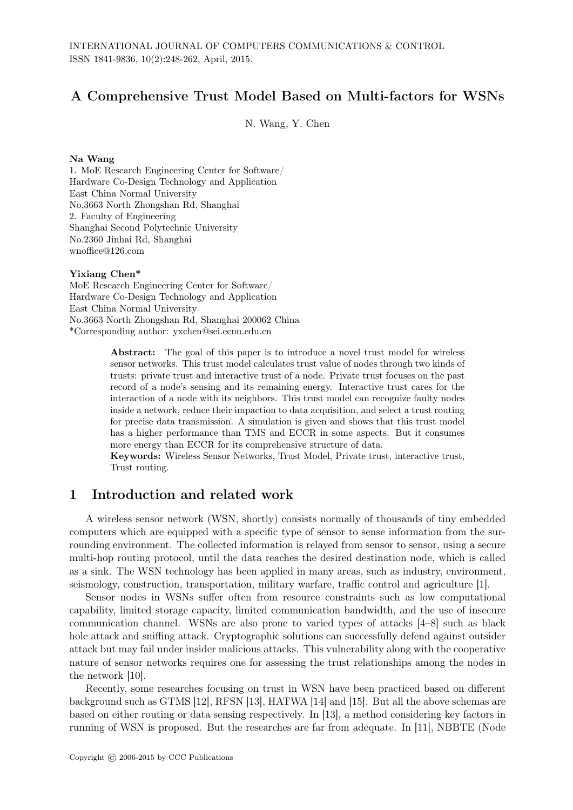# A Comprehensive Trust Model Based on Multi-factors for WSNs

N. Wang, Y. Chen

#### Na Wang

1. MoE Research Engineering Center for Software/ Hardware Co-Design Technology and Application East China Normal University No.3663 North Zhongshan Rd, Shanghai 2. Faculty of Engineering Shanghai Second Polytechnic University No.2360 Jinhai Rd, Shanghai wnoffice@126.com

#### Yixiang Chen\*

MoE Research Engineering Center for Software/ Hardware Co-Design Technology and Application East China Normal University No.3663 North Zhongshan Rd, Shanghai 200062 China \*Corresponding author: yxchen@sei.ecnu.edu.cn

> Abstract: The goal of this paper is to introduce a novel trust model for wireless sensor networks. This trust model calculates trust value of nodes through two kinds of trusts: private trust and interactive trust of a node. Private trust focuses on the past record of a node's sensing and its remaining energy. Interactive trust cares for the interaction of a node with its neighbors. This trust model can recognize faulty nodes inside a network, reduce their impaction to data acquisition, and select a trust routing for precise data transmission. A simulation is given and shows that this trust model has a higher performance than TMS and ECCR in some aspects. But it consumes more energy than ECCR for its comprehensive structure of data.

> Keywords: Wireless Sensor Networks, Trust Model, Private trust, interactive trust, Trust routing.

## 1 Introduction and related work

A wireless sensor network (WSN, shortly) consists normally of thousands of tiny embedded computers which are equipped with a specific type of sensor to sense information from the surrounding environment. The collected information is relayed from sensor to sensor, using a secure multi-hop routing protocol, until the data reaches the desired destination node, which is called as a sink. The WSN technology has been applied in many areas, such as industry, environment, seismology, construction, transportation, military warfare, traffic control and agriculture [1].

Sensor nodes in WSNs suffer often from resource constraints such as low computational capability, limited storage capacity, limited communication bandwidth, and the use of insecure communication channel. WSNs are also prone to varied types of attacks [4–8] such as black hole attack and sniffing attack. Cryptographic solutions can successfully defend against outsider attack but may fail under insider malicious attacks. This vulnerability along with the cooperative nature of sensor networks requires one for assessing the trust relationships among the nodes in the network [10].

Recently, some researches focusing on trust in WSN have been practiced based on different background such as GTMS [12], RFSN [13], HATWA [14] and [15]. But all the above schemas are based on either routing or data sensing respectively. In [13], a method considering key factors in running of WSN is proposed. But the researches are far from adequate. In [11], NBBTE (Node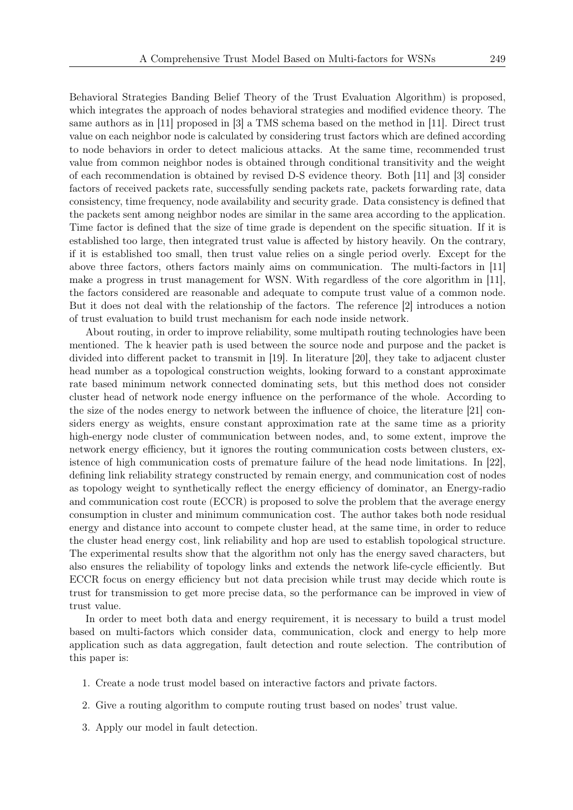Behavioral Strategies Banding Belief Theory of the Trust Evaluation Algorithm) is proposed, which integrates the approach of nodes behavioral strategies and modified evidence theory. The same authors as in [11] proposed in [3] a TMS schema based on the method in [11]. Direct trust value on each neighbor node is calculated by considering trust factors which are defined according to node behaviors in order to detect malicious attacks. At the same time, recommended trust value from common neighbor nodes is obtained through conditional transitivity and the weight of each recommendation is obtained by revised D-S evidence theory. Both [11] and [3] consider factors of received packets rate, successfully sending packets rate, packets forwarding rate, data consistency, time frequency, node availability and security grade. Data consistency is defined that the packets sent among neighbor nodes are similar in the same area according to the application. Time factor is defined that the size of time grade is dependent on the specific situation. If it is established too large, then integrated trust value is affected by history heavily. On the contrary, if it is established too small, then trust value relies on a single period overly. Except for the above three factors, others factors mainly aims on communication. The multi-factors in [11] make a progress in trust management for WSN. With regardless of the core algorithm in [11], the factors considered are reasonable and adequate to compute trust value of a common node. But it does not deal with the relationship of the factors. The reference [2] introduces a notion of trust evaluation to build trust mechanism for each node inside network.

About routing, in order to improve reliability, some multipath routing technologies have been mentioned. The k heavier path is used between the source node and purpose and the packet is divided into different packet to transmit in [19]. In literature [20], they take to adjacent cluster head number as a topological construction weights, looking forward to a constant approximate rate based minimum network connected dominating sets, but this method does not consider cluster head of network node energy influence on the performance of the whole. According to the size of the nodes energy to network between the influence of choice, the literature [21] considers energy as weights, ensure constant approximation rate at the same time as a priority high-energy node cluster of communication between nodes, and, to some extent, improve the network energy efficiency, but it ignores the routing communication costs between clusters, existence of high communication costs of premature failure of the head node limitations. In [22], defining link reliability strategy constructed by remain energy, and communication cost of nodes as topology weight to synthetically reflect the energy efficiency of dominator, an Energy-radio and communication cost route (ECCR) is proposed to solve the problem that the average energy consumption in cluster and minimum communication cost. The author takes both node residual energy and distance into account to compete cluster head, at the same time, in order to reduce the cluster head energy cost, link reliability and hop are used to establish topological structure. The experimental results show that the algorithm not only has the energy saved characters, but also ensures the reliability of topology links and extends the network life-cycle efficiently. But ECCR focus on energy efficiency but not data precision while trust may decide which route is trust for transmission to get more precise data, so the performance can be improved in view of trust value.

In order to meet both data and energy requirement, it is necessary to build a trust model based on multi-factors which consider data, communication, clock and energy to help more application such as data aggregation, fault detection and route selection. The contribution of this paper is:

- 1. Create a node trust model based on interactive factors and private factors.
- 2. Give a routing algorithm to compute routing trust based on nodes' trust value.
- 3. Apply our model in fault detection.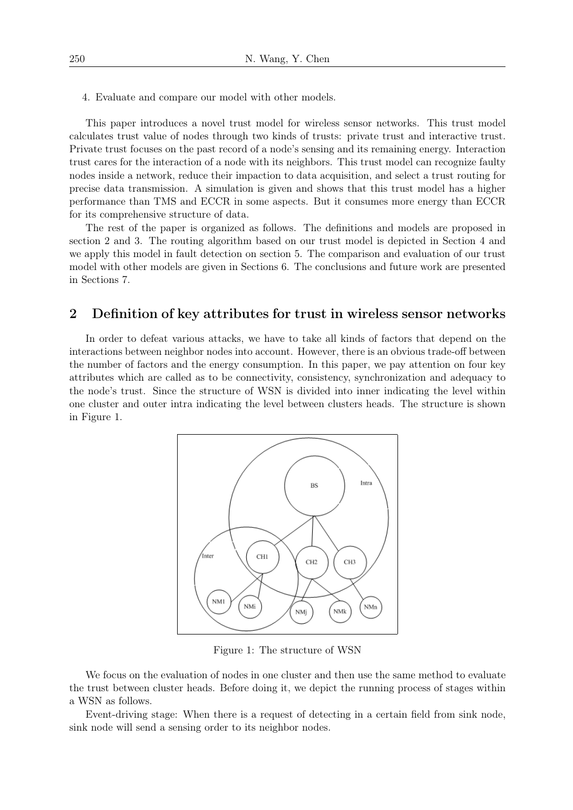4. Evaluate and compare our model with other models.

This paper introduces a novel trust model for wireless sensor networks. This trust model calculates trust value of nodes through two kinds of trusts: private trust and interactive trust. Private trust focuses on the past record of a node's sensing and its remaining energy. Interaction trust cares for the interaction of a node with its neighbors. This trust model can recognize faulty nodes inside a network, reduce their impaction to data acquisition, and select a trust routing for precise data transmission. A simulation is given and shows that this trust model has a higher performance than TMS and ECCR in some aspects. But it consumes more energy than ECCR for its comprehensive structure of data.

The rest of the paper is organized as follows. The definitions and models are proposed in section 2 and 3. The routing algorithm based on our trust model is depicted in Section 4 and we apply this model in fault detection on section 5. The comparison and evaluation of our trust model with other models are given in Sections 6. The conclusions and future work are presented in Sections 7.

## 2 Definition of key attributes for trust in wireless sensor networks

In order to defeat various attacks, we have to take all kinds of factors that depend on the interactions between neighbor nodes into account. However, there is an obvious trade-off between the number of factors and the energy consumption. In this paper, we pay attention on four key attributes which are called as to be connectivity, consistency, synchronization and adequacy to the node's trust. Since the structure of WSN is divided into inner indicating the level within one cluster and outer intra indicating the level between clusters heads. The structure is shown in Figure 1.



Figure 1: The structure of WSN

We focus on the evaluation of nodes in one cluster and then use the same method to evaluate the trust between cluster heads. Before doing it, we depict the running process of stages within a WSN as follows.

Event-driving stage: When there is a request of detecting in a certain field from sink node, sink node will send a sensing order to its neighbor nodes.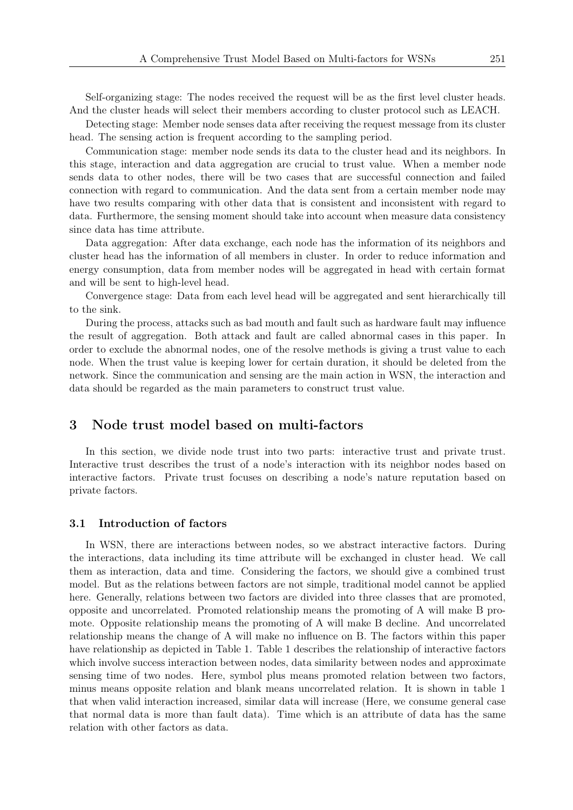Self-organizing stage: The nodes received the request will be as the first level cluster heads. And the cluster heads will select their members according to cluster protocol such as LEACH.

Detecting stage: Member node senses data after receiving the request message from its cluster head. The sensing action is frequent according to the sampling period.

Communication stage: member node sends its data to the cluster head and its neighbors. In this stage, interaction and data aggregation are crucial to trust value. When a member node sends data to other nodes, there will be two cases that are successful connection and failed connection with regard to communication. And the data sent from a certain member node may have two results comparing with other data that is consistent and inconsistent with regard to data. Furthermore, the sensing moment should take into account when measure data consistency since data has time attribute.

Data aggregation: After data exchange, each node has the information of its neighbors and cluster head has the information of all members in cluster. In order to reduce information and energy consumption, data from member nodes will be aggregated in head with certain format and will be sent to high-level head.

Convergence stage: Data from each level head will be aggregated and sent hierarchically till to the sink.

During the process, attacks such as bad mouth and fault such as hardware fault may influence the result of aggregation. Both attack and fault are called abnormal cases in this paper. In order to exclude the abnormal nodes, one of the resolve methods is giving a trust value to each node. When the trust value is keeping lower for certain duration, it should be deleted from the network. Since the communication and sensing are the main action in WSN, the interaction and data should be regarded as the main parameters to construct trust value.

## 3 Node trust model based on multi-factors

In this section, we divide node trust into two parts: interactive trust and private trust. Interactive trust describes the trust of a node's interaction with its neighbor nodes based on interactive factors. Private trust focuses on describing a node's nature reputation based on private factors.

### 3.1 Introduction of factors

In WSN, there are interactions between nodes, so we abstract interactive factors. During the interactions, data including its time attribute will be exchanged in cluster head. We call them as interaction, data and time. Considering the factors, we should give a combined trust model. But as the relations between factors are not simple, traditional model cannot be applied here. Generally, relations between two factors are divided into three classes that are promoted, opposite and uncorrelated. Promoted relationship means the promoting of A will make B promote. Opposite relationship means the promoting of A will make B decline. And uncorrelated relationship means the change of A will make no influence on B. The factors within this paper have relationship as depicted in Table 1. Table 1 describes the relationship of interactive factors which involve success interaction between nodes, data similarity between nodes and approximate sensing time of two nodes. Here, symbol plus means promoted relation between two factors, minus means opposite relation and blank means uncorrelated relation. It is shown in table 1 that when valid interaction increased, similar data will increase (Here, we consume general case that normal data is more than fault data). Time which is an attribute of data has the same relation with other factors as data.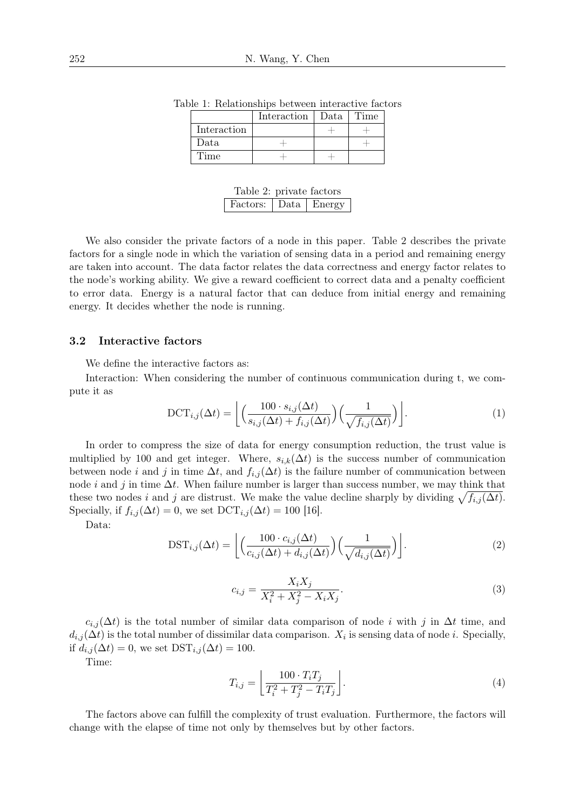|             | Interaction | Data | Time |
|-------------|-------------|------|------|
| Interaction |             |      |      |
| Data        |             |      |      |
| Time        |             |      |      |

Table 1: Relationships between interactive factors

| Table 2: private factors |  |
|--------------------------|--|
| Factors: Data   Energy   |  |

We also consider the private factors of a node in this paper. Table 2 describes the private factors for a single node in which the variation of sensing data in a period and remaining energy are taken into account. The data factor relates the data correctness and energy factor relates to the node's working ability. We give a reward coefficient to correct data and a penalty coefficient to error data. Energy is a natural factor that can deduce from initial energy and remaining energy. It decides whether the node is running.

### 3.2 Interactive factors

We define the interactive factors as:

Interaction: When considering the number of continuous communication during t, we compute it as

$$
\text{DCT}_{i,j}(\Delta t) = \left[ \left( \frac{100 \cdot s_{i,j}(\Delta t)}{s_{i,j}(\Delta t) + f_{i,j}(\Delta t)} \right) \left( \frac{1}{\sqrt{f_{i,j}(\Delta t)}} \right) \right]. \tag{1}
$$

In order to compress the size of data for energy consumption reduction, the trust value is multiplied by 100 and get integer. Where,  $s_{i,k}(\Delta t)$  is the success number of communication between node *i* and *j* in time  $\Delta t$ , and  $f_{i,j}(\Delta t)$  is the failure number of communication between node *i* and *j* in time  $\Delta t$ . When failure number is larger than success number, we may think that these two nodes *i* and *j* are distrust. We make the value decline sharply by dividing  $\sqrt{f_{i,j}(\Delta t)}$ . Specially, if  $f_{i,j}(\Delta t) = 0$ , we set  $\text{DCT}_{i,j}(\Delta t) = 100$  [16].

Data:

$$
\text{DST}_{i,j}(\Delta t) = \left[ \left( \frac{100 \cdot c_{i,j}(\Delta t)}{c_{i,j}(\Delta t) + d_{i,j}(\Delta t)} \right) \left( \frac{1}{\sqrt{d_{i,j}(\Delta t)}} \right) \right].
$$
 (2)

$$
c_{i,j} = \frac{X_i X_j}{X_i^2 + X_j^2 - X_i X_j}.\tag{3}
$$

 $c_{i,j}(\Delta t)$  is the total number of similar data comparison of node *i* with *j* in  $\Delta t$  time, and  $d_{i,j}(\Delta t)$  is the total number of dissimilar data comparison.  $X_i$  is sensing data of node *i*. Specially, if  $d_{i,j}(\Delta t) = 0$ , we set  $DST_{i,j}(\Delta t) = 100$ .

Time:

$$
T_{i,j} = \left\lfloor \frac{100 \cdot T_i T_j}{T_i^2 + T_j^2 - T_i T_j} \right\rfloor.
$$
\n
$$
(4)
$$

The factors above can fulfill the complexity of trust evaluation. Furthermore, the factors will change with the elapse of time not only by themselves but by other factors.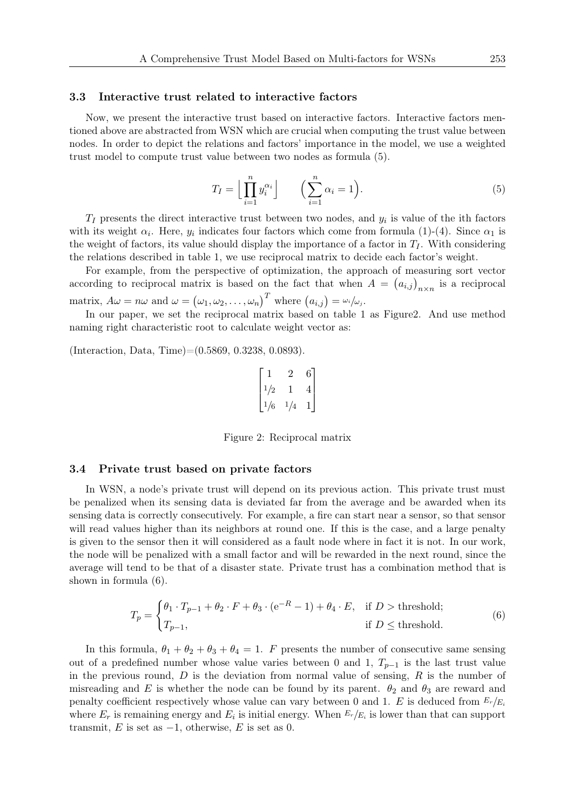#### 3.3 Interactive trust related to interactive factors

Now, we present the interactive trust based on interactive factors. Interactive factors mentioned above are abstracted from WSN which are crucial when computing the trust value between nodes. In order to depict the relations and factors' importance in the model, we use a weighted trust model to compute trust value between two nodes as formula (5).

$$
T_I = \left\lfloor \prod_{i=1}^n y_i^{\alpha_i} \right\rfloor \qquad \left( \sum_{i=1}^n \alpha_i = 1 \right). \tag{5}
$$

*T<sup>I</sup>* presents the direct interactive trust between two nodes, and *y<sup>i</sup>* is value of the ith factors with its weight  $\alpha_i$ . Here,  $y_i$  indicates four factors which come from formula (1)-(4). Since  $\alpha_1$  is the weight of factors, its value should display the importance of a factor in  $T_I$ . With considering the relations described in table 1, we use reciprocal matrix to decide each factor's weight.

For example, from the perspective of optimization, the approach of measuring sort vector according to reciprocal matrix is based on the fact that when  $A = (a_{i,j})_{n \times n}$  is a reciprocal matrix,  $A\omega = n\omega$  and  $\omega = (\omega_1, \omega_2, \dots, \omega_n)^T$  where  $(a_{i,j}) = \omega_i/\omega_j$ .

In our paper, we set the reciprocal matrix based on table 1 as Figure2. And use method naming right characteristic root to calculate weight vector as:

(Interaction, Data, Time)=(0.5869, 0.3238, 0.0893).

$$
\begin{bmatrix} 1 & 2 & 6 \ 1/2 & 1 & 4 \ 1/6 & 1/4 & 1 \end{bmatrix}
$$

Figure 2: Reciprocal matrix

#### 3.4 Private trust based on private factors

In WSN, a node's private trust will depend on its previous action. This private trust must be penalized when its sensing data is deviated far from the average and be awarded when its sensing data is correctly consecutively. For example, a fire can start near a sensor, so that sensor will read values higher than its neighbors at round one. If this is the case, and a large penalty is given to the sensor then it will considered as a fault node where in fact it is not. In our work, the node will be penalized with a small factor and will be rewarded in the next round, since the average will tend to be that of a disaster state. Private trust has a combination method that is shown in formula (6).

$$
T_p = \begin{cases} \theta_1 \cdot T_{p-1} + \theta_2 \cdot F + \theta_3 \cdot (e^{-R} - 1) + \theta_4 \cdot E, & \text{if } D > \text{threshold}; \\ T_{p-1}, & \text{if } D \le \text{threshold}. \end{cases}
$$
(6)

In this formula,  $\theta_1 + \theta_2 + \theta_3 + \theta_4 = 1$ . *F* presents the number of consecutive same sensing out of a predefined number whose value varies between 0 and 1,  $T_{p-1}$  is the last trust value in the previous round, *D* is the deviation from normal value of sensing, *R* is the number of misreading and *E* is whether the node can be found by its parent.  $\theta_2$  and  $\theta_3$  are reward and penalty coefficient respectively whose value can vary between 0 and 1. *E* is deduced from  $E_r/E_i$ where  $E_r$  is remaining energy and  $E_i$  is initial energy. When  $E_r/E_i$  is lower than that can support transmit, *E* is set as  $-1$ , otherwise, *E* is set as 0.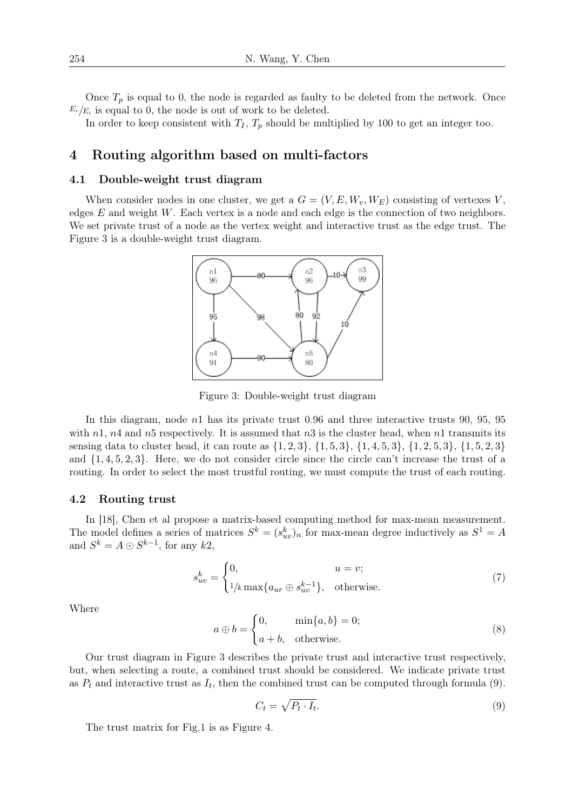Once  $T_p$  is equal to 0, the node is regarded as faulty to be deleted from the network. Once  $E_r/E_i$  is equal to 0, the node is out of work to be deleted.

In order to keep consistent with  $T_I$ ,  $T_p$  should be multiplied by 100 to get an integer too.

## 4 Routing algorithm based on multi-factors

### 4.1 Double-weight trust diagram

When consider nodes in one cluster, we get a  $G = (V, E, W_v, W_E)$  consisting of vertexes V, edges *E* and weight *W*. Each vertex is a node and each edge is the connection of two neighbors. We set private trust of a node as the vertex weight and interactive trust as the edge trust. The Figure 3 is a double-weight trust diagram.



Figure 3: Double-weight trust diagram

In this diagram, node *n*1 has its private trust 0.96 and three interactive trusts 90, 95, 95 with *n*1, *n*4 and *n*5 respectively. It is assumed that *n*3 is the cluster head, when *n*1 transmits its sensing data to cluster head, it can route as  $\{1,2,3\}$ ,  $\{1,5,3\}$ ,  $\{1,4,5,3\}$ ,  $\{1,2,5,3\}$ ,  $\{1,5,2,3\}$ and *{*1*,* 4*,* 5*,* 2*,* 3*}*. Here, we do not consider circle since the circle can't increase the trust of a routing. In order to select the most trustful routing, we must compute the trust of each routing.

#### 4.2 Routing trust

In [18], Chen et al propose a matrix-based computing method for max-mean measurement. The model defines a series of matrices  $S^k = (s^k_{uv})_n$  for max-mean degree inductively as  $S^1 = A$ and  $S^k = A \odot S^{k-1}$ , for any  $k2$ ,

$$
s_{uv}^k = \begin{cases} 0, & u = v; \\ 1/k \max\{a_{ur} \oplus s_{uv}^{k-1}\}, & \text{otherwise.} \end{cases}
$$
 (7)

Where

$$
a \oplus b = \begin{cases} 0, & \min\{a, b\} = 0; \\ a + b, & \text{otherwise.} \end{cases}
$$
 (8)

Our trust diagram in Figure 3 describes the private trust and interactive trust respectively, but, when selecting a route, a combined trust should be considered. We indicate private trust as  $P_t$  and interactive trust as  $I_t$ , then the combined trust can be computed through formula  $(9)$ .

$$
C_t = \sqrt{P_t \cdot I_t}.\tag{9}
$$

The trust matrix for Fig.1 is as Figure 4.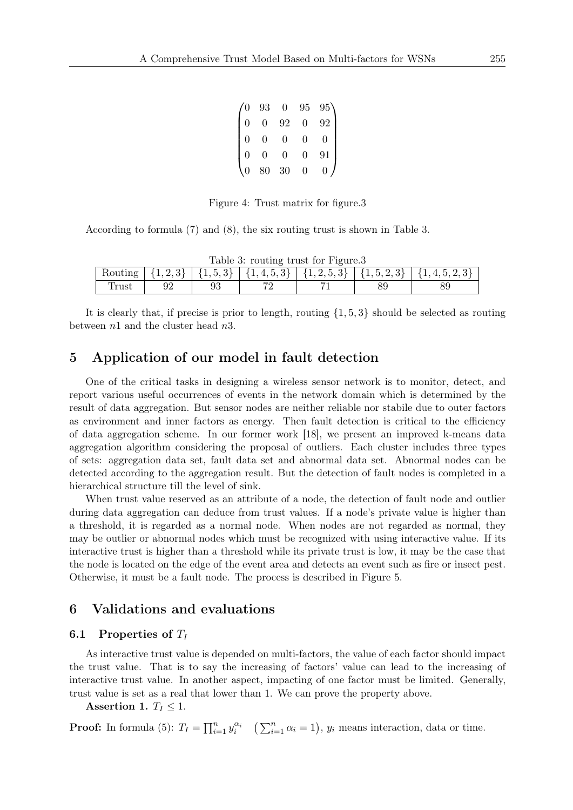|                | 93             | $\overline{0}$  | 95             | $95^{\circ}$      |
|----------------|----------------|-----------------|----------------|-------------------|
| $\overline{0}$ | $\overline{0}$ | 92              | $\overline{0}$ | 92                |
| 0              | $\overline{0}$ | $\overline{0}$  | $\overline{0}$ |                   |
| $\Omega$       | $\overline{0}$ | 0               | $\Omega$       | 91                |
|                | $80\,$         | $\overline{30}$ | 0              | $\mathbf{\Omega}$ |

Figure 4: Trust matrix for figure.3

According to formula (7) and (8), the six routing trust is shown in Table 3.

| Table 3: routing trust for Figure.3                                                       |  |  |  |  |  |  |
|-------------------------------------------------------------------------------------------|--|--|--|--|--|--|
| Routing $\{1,2,3\}$ $\{1,5,3\}$ $\{1,4,5,3\}$ $\{1,2,5,3\}$ $\{1,5,2,3\}$ $\{1,4,5,2,3\}$ |  |  |  |  |  |  |
| Trust                                                                                     |  |  |  |  |  |  |

It is clearly that, if precise is prior to length, routing *{*1*,* 5*,* 3*}* should be selected as routing between *n*1 and the cluster head *n*3.

# 5 Application of our model in fault detection

One of the critical tasks in designing a wireless sensor network is to monitor, detect, and report various useful occurrences of events in the network domain which is determined by the result of data aggregation. But sensor nodes are neither reliable nor stabile due to outer factors as environment and inner factors as energy. Then fault detection is critical to the efficiency of data aggregation scheme. In our former work [18], we present an improved k-means data aggregation algorithm considering the proposal of outliers. Each cluster includes three types of sets: aggregation data set, fault data set and abnormal data set. Abnormal nodes can be detected according to the aggregation result. But the detection of fault nodes is completed in a hierarchical structure till the level of sink.

When trust value reserved as an attribute of a node, the detection of fault node and outlier during data aggregation can deduce from trust values. If a node's private value is higher than a threshold, it is regarded as a normal node. When nodes are not regarded as normal, they may be outlier or abnormal nodes which must be recognized with using interactive value. If its interactive trust is higher than a threshold while its private trust is low, it may be the case that the node is located on the edge of the event area and detects an event such as fire or insect pest. Otherwise, it must be a fault node. The process is described in Figure 5.

### 6 Validations and evaluations

#### 6.1 Properties of *T<sup>I</sup>*

As interactive trust value is depended on multi-factors, the value of each factor should impact the trust value. That is to say the increasing of factors' value can lead to the increasing of interactive trust value. In another aspect, impacting of one factor must be limited. Generally, trust value is set as a real that lower than 1. We can prove the property above.

Assertion 1.  $T_I \leq 1$ .

**Proof:** In formula (5):  $T_I = \prod_{i=1}^n y_i^{\alpha_i}$   $(\sum_{i=1}^n \alpha_i = 1)$ ,  $y_i$  means interaction, data or time.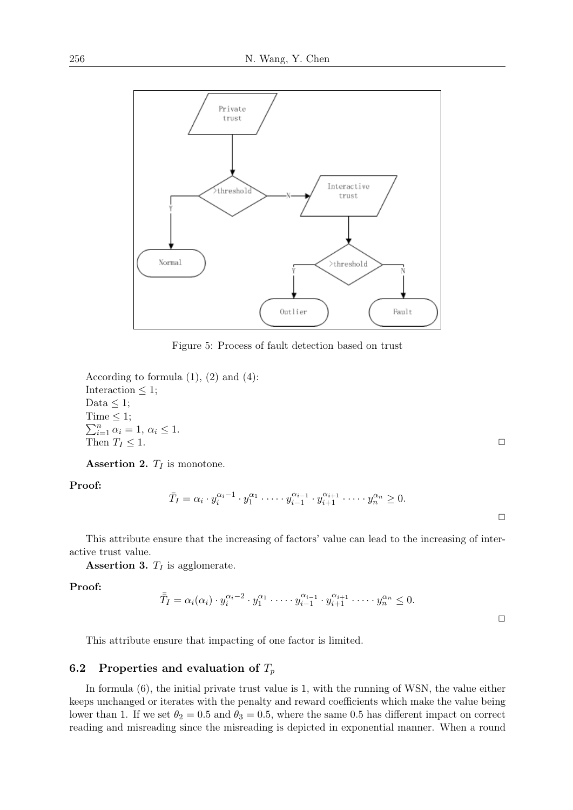

Figure 5: Process of fault detection based on trust

According to formula  $(1)$ ,  $(2)$  and  $(4)$ : Interaction  $\leq$  1; Data  $\leq 1$ ; Time  $\leq 1$ ;  $\sum_{i=1}^{n} \alpha_i = 1, \, \alpha_i \leq 1.$ Then  $T_I \leq 1$ .

Assertion 2. *T<sup>I</sup>* is monotone.

Proof:

$$
\bar{T}_I = \alpha_i \cdot y_i^{\alpha_i - 1} \cdot y_1^{\alpha_1} \cdot \dots \cdot y_{i-1}^{\alpha_{i-1}} \cdot y_{i+1}^{\alpha_{i+1}} \cdot \dots \cdot y_n^{\alpha_n} \ge 0.
$$

This attribute ensure that the increasing of factors' value can lead to the increasing of interactive trust value.

Assertion 3.  $T_I$  is agglomerate.

Proof:

$$
\overline{\overline{T}}_I = \alpha_i(\alpha_i) \cdot y_i^{\alpha_i - 2} \cdot y_1^{\alpha_1} \cdot \dots \cdot y_{i-1}^{\alpha_{i-1}} \cdot y_{i+1}^{\alpha_{i+1}} \cdot \dots \cdot y_n^{\alpha_n} \leq 0.
$$

This attribute ensure that impacting of one factor is limited.

### 6.2 Properties and evaluation of *T<sup>p</sup>*

In formula (6), the initial private trust value is 1, with the running of WSN, the value either keeps unchanged or iterates with the penalty and reward coefficients which make the value being lower than 1. If we set  $\theta_2 = 0.5$  and  $\theta_3 = 0.5$ , where the same 0.5 has different impact on correct reading and misreading since the misreading is depicted in exponential manner. When a round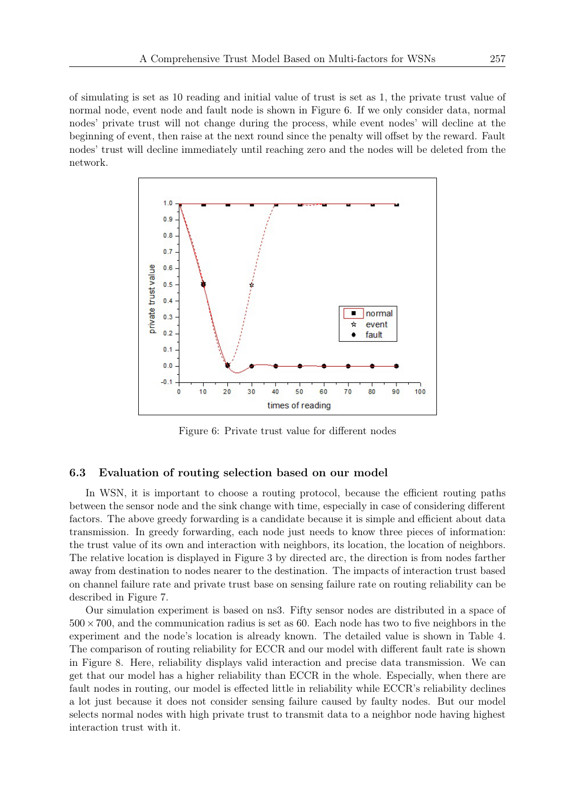of simulating is set as 10 reading and initial value of trust is set as 1, the private trust value of normal node, event node and fault node is shown in Figure 6. If we only consider data, normal nodes' private trust will not change during the process, while event nodes' will decline at the beginning of event, then raise at the next round since the penalty will offset by the reward. Fault nodes' trust will decline immediately until reaching zero and the nodes will be deleted from the network.



Figure 6: Private trust value for different nodes

#### 6.3 Evaluation of routing selection based on our model

In WSN, it is important to choose a routing protocol, because the efficient routing paths between the sensor node and the sink change with time, especially in case of considering different factors. The above greedy forwarding is a candidate because it is simple and efficient about data transmission. In greedy forwarding, each node just needs to know three pieces of information: the trust value of its own and interaction with neighbors, its location, the location of neighbors. The relative location is displayed in Figure 3 by directed arc, the direction is from nodes farther away from destination to nodes nearer to the destination. The impacts of interaction trust based on channel failure rate and private trust base on sensing failure rate on routing reliability can be described in Figure 7.

Our simulation experiment is based on ns3. Fifty sensor nodes are distributed in a space of 500*×*700, and the communication radius is set as 60. Each node has two to five neighbors in the experiment and the node's location is already known. The detailed value is shown in Table 4. The comparison of routing reliability for ECCR and our model with different fault rate is shown in Figure 8. Here, reliability displays valid interaction and precise data transmission. We can get that our model has a higher reliability than ECCR in the whole. Especially, when there are fault nodes in routing, our model is effected little in reliability while ECCR's reliability declines a lot just because it does not consider sensing failure caused by faulty nodes. But our model selects normal nodes with high private trust to transmit data to a neighbor node having highest interaction trust with it.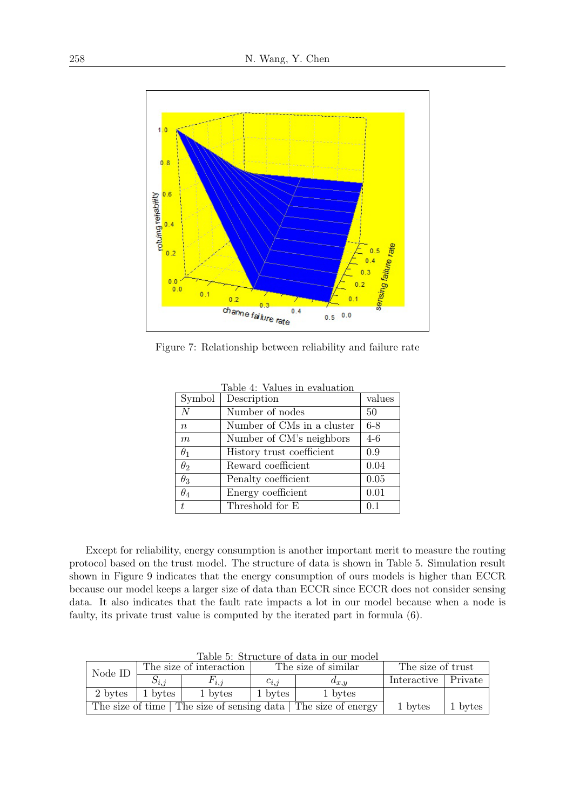

Figure 7: Relationship between reliability and failure rate

| Symbol           | Table +. values in evaluation<br>Description | values  |
|------------------|----------------------------------------------|---------|
| N                | Number of nodes                              | 50      |
| $\boldsymbol{n}$ | Number of CMs in a cluster                   | $6 - 8$ |
| $\boldsymbol{m}$ | Number of CM's neighbors                     | $4-6$   |
| $\theta_1$       | History trust coefficient                    | 0.9     |
| $\theta_2$       | Reward coefficient                           | 0.04    |
| $\theta_3$       | Penalty coefficient                          | 0.05    |
| $\theta_4$       | Energy coefficient                           | 0.01    |
| t.               | Threshold for E                              | 0.1     |

Table 4: Values in evaluation

Except for reliability, energy consumption is another important merit to measure the routing protocol based on the trust model. The structure of data is shown in Table 5. Simulation result shown in Figure 9 indicates that the energy consumption of ours models is higher than ECCR because our model keeps a larger size of data than ECCR since ECCR does not consider sensing data. It also indicates that the fault rate impacts a lot in our model because when a node is faulty, its private trust value is computed by the iterated part in formula (6).

| Node ID                                                          | The size of interaction |           | Table 9. Diructure of uata ill our mouch<br>The size of similar |           | The size of trust     |  |
|------------------------------------------------------------------|-------------------------|-----------|-----------------------------------------------------------------|-----------|-----------------------|--|
|                                                                  |                         | $F_{i,j}$ | $c_{i,i}$                                                       | $a_{x,y}$ | Interactive   Private |  |
| 2 bytes                                                          | 1 bytes                 | 1 bytes   | 1 bytes                                                         | 1 bytes   |                       |  |
| The size of time   The size of sensing data   The size of energy |                         |           |                                                                 | 1 bytes   | 1 bytes               |  |

Table 5: Structure of data in our model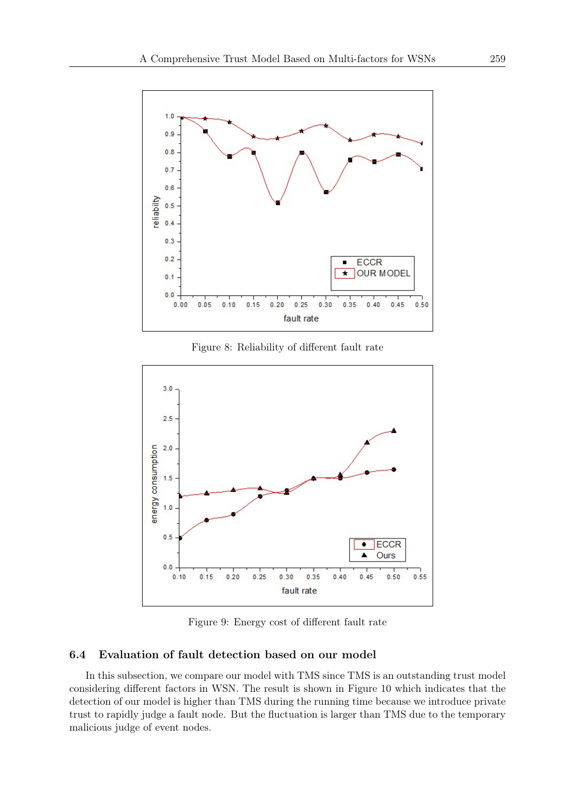

Figure 8: Reliability of different fault rate



Figure 9: Energy cost of different fault rate

### 6.4 Evaluation of fault detection based on our model

In this subsection, we compare our model with TMS since TMS is an outstanding trust model considering different factors in WSN. The result is shown in Figure 10 which indicates that the detection of our model is higher than TMS during the running time because we introduce private trust to rapidly judge a fault node. But the fluctuation is larger than TMS due to the temporary malicious judge of event nodes.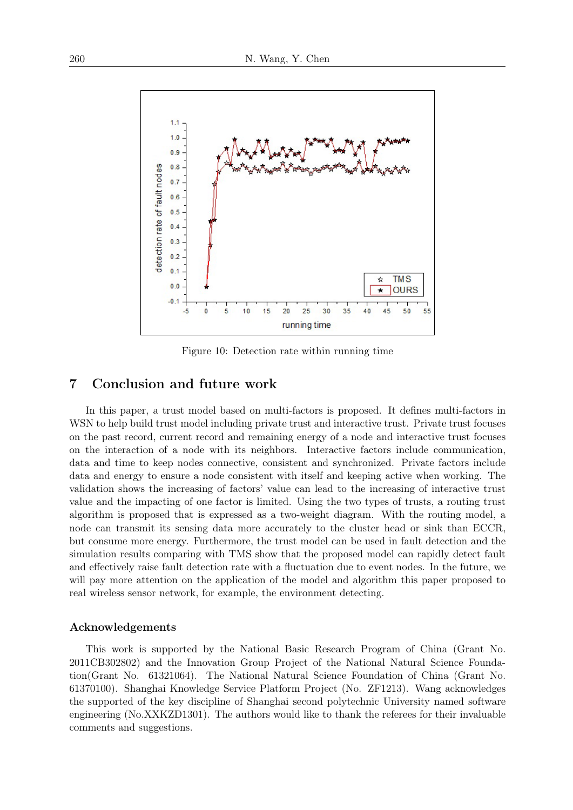

Figure 10: Detection rate within running time

# 7 Conclusion and future work

In this paper, a trust model based on multi-factors is proposed. It defines multi-factors in WSN to help build trust model including private trust and interactive trust. Private trust focuses on the past record, current record and remaining energy of a node and interactive trust focuses on the interaction of a node with its neighbors. Interactive factors include communication, data and time to keep nodes connective, consistent and synchronized. Private factors include data and energy to ensure a node consistent with itself and keeping active when working. The validation shows the increasing of factors' value can lead to the increasing of interactive trust value and the impacting of one factor is limited. Using the two types of trusts, a routing trust algorithm is proposed that is expressed as a two-weight diagram. With the routing model, a node can transmit its sensing data more accurately to the cluster head or sink than ECCR, but consume more energy. Furthermore, the trust model can be used in fault detection and the simulation results comparing with TMS show that the proposed model can rapidly detect fault and effectively raise fault detection rate with a fluctuation due to event nodes. In the future, we will pay more attention on the application of the model and algorithm this paper proposed to real wireless sensor network, for example, the environment detecting.

#### Acknowledgements

This work is supported by the National Basic Research Program of China (Grant No. 2011CB302802) and the Innovation Group Project of the National Natural Science Foundation(Grant No. 61321064). The National Natural Science Foundation of China (Grant No. 61370100). Shanghai Knowledge Service Platform Project (No. ZF1213). Wang acknowledges the supported of the key discipline of Shanghai second polytechnic University named software engineering (No.XXKZD1301). The authors would like to thank the referees for their invaluable comments and suggestions.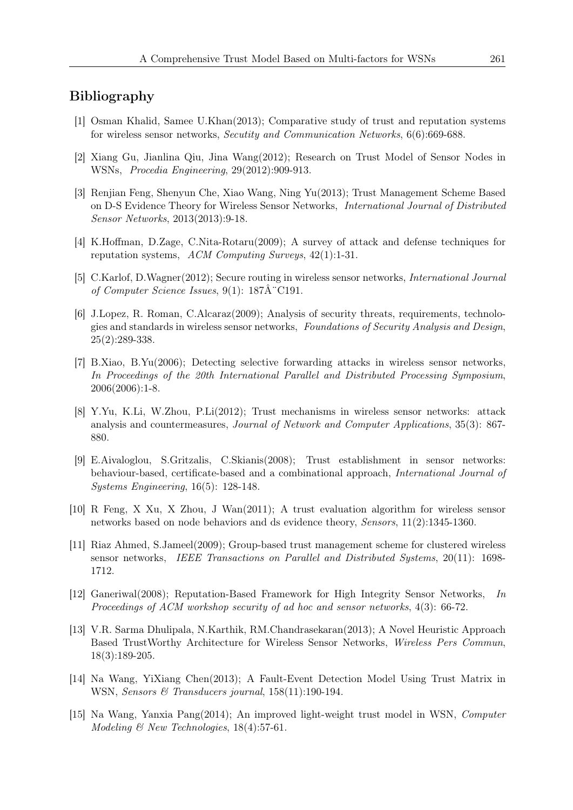## Bibliography

- [1] Osman Khalid, Samee U.Khan(2013); Comparative study of trust and reputation systems for wireless sensor networks, *Secutity and Communication Networks*, 6(6):669-688.
- [2] Xiang Gu, Jianlina Qiu, Jina Wang(2012); Research on Trust Model of Sensor Nodes in WSNs, *Procedia Engineering*, 29(2012):909-913.
- [3] Renjian Feng, Shenyun Che, Xiao Wang, Ning Yu(2013); Trust Management Scheme Based on D-S Evidence Theory for Wireless Sensor Networks, *International Journal of Distributed Sensor Networks*, 2013(2013):9-18.
- [4] K.Hoffman, D.Zage, C.Nita-Rotaru(2009); A survey of attack and defense techniques for reputation systems, *ACM Computing Surveys*, 42(1):1-31.
- [5] C.Karlof, D.Wagner(2012); Secure routing in wireless sensor networks, *International Journal of Computer Science Issues*, 9(1): 187 $\AA$ <sup>-</sup>C191.
- [6] J.Lopez, R. Roman, C.Alcaraz(2009); Analysis of security threats, requirements, technologies and standards in wireless sensor networks, *Foundations of Security Analysis and Design*,  $25(2):289-338.$
- [7] B.Xiao, B.Yu(2006); Detecting selective forwarding attacks in wireless sensor networks, *In Proceedings of the 20th International Parallel and Distributed Processing Symposium*, 2006(2006):1-8.
- [8] Y.Yu, K.Li, W.Zhou, P.Li(2012); Trust mechanisms in wireless sensor networks: attack analysis and countermeasures, *Journal of Network and Computer Applications*, 35(3): 867- 880.
- [9] E.Aivaloglou, S.Gritzalis, C.Skianis(2008); Trust establishment in sensor networks: behaviour-based, certificate-based and a combinational approach, *International Journal of Systems Engineering*, 16(5): 128-148.
- [10] R Feng, X Xu, X Zhou, J Wan(2011); A trust evaluation algorithm for wireless sensor networks based on node behaviors and ds evidence theory, *Sensors*, 11(2):1345-1360.
- [11] Riaz Ahmed, S.Jameel(2009); Group-based trust management scheme for clustered wireless sensor networks, *IEEE Transactions on Parallel and Distributed Systems*, 20(11): 1698- 1712.
- [12] Ganeriwal(2008); Reputation-Based Framework for High Integrity Sensor Networks, *In Proceedings of ACM workshop security of ad hoc and sensor networks*, 4(3): 66-72.
- [13] V.R. Sarma Dhulipala, N.Karthik, RM.Chandrasekaran(2013); A Novel Heuristic Approach Based TrustWorthy Architecture for Wireless Sensor Networks, *Wireless Pers Commun*, 18(3):189-205.
- [14] Na Wang, YiXiang Chen(2013); A Fault-Event Detection Model Using Trust Matrix in WSN, *Sensors & Transducers journal*, 158(11):190-194.
- [15] Na Wang, Yanxia Pang(2014); An improved light-weight trust model in WSN, *Computer Modeling & New Technologies*, 18(4):57-61.